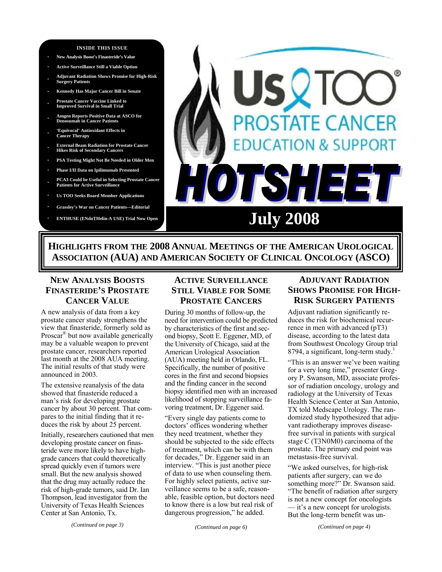### **INSIDE THIS ISSUE**

- **· New Analysis Boost's Finasteride's Value**
- **· Active Surveillance Still a Viable Option**
- **· Adjuvant Radiation Shows Promise for High-Risk Surgery Patients**
- **· Kennedy Has Major Cancer Bill in Senate**
- **· Prostate Cancer Vaccine Linked to Improved Survival in Small Trial**
- **· Amgen Reports Positive Data at ASCO for Denosumab in Cancer Patients**
- **· 'Equivocal' Antioxidant Effects in Cancer Therapy**
- **· External Beam Radiation for Prostate Cancer Hikes Risk of Secondary Cancers**
- **· PSA Testing Might Not Be Needed in Older Men**
- **· Phase I/II Data on Ipilimumab Presented**
- **· PCA3 Could be Useful in Selecting Prostate Cancer Patients for Active Surveillan**
- **· Us TOO Seeks Board Member Applications**
- **· Grassley's War on Cancer Patients—Editorial**
- 

# **STATE CANCER DN & SUPPORT ISHE ENTHUSE (ENdoTHelin-A USE) Trial Now Open** July 2008

**HIGHLIGHTS FROM THE 2008 ANNUAL MEETINGS OF THE AMERICAN UROLOGICAL ASSOCIATION (AUA) AND AMERICAN SOCIETY OF CLINICAL ONCOLOGY (ASCO)** 

# **NEW ANALYSIS BOOSTS FINASTERIDE'S PROSTATE CANCER VALUE**

A new analysis of data from a key prostate cancer study strengthens the view that finasteride, formerly sold as Proscar® but now available generically may be a valuable weapon to prevent prostate cancer, researchers reported last month at the 2008 AUA meeting. The initial results of that study were announced in 2003.

The extensive reanalysis of the data showed that finasteride reduced a man's risk for developing prostate cancer by about 30 percent. That compares to the initial finding that it reduces the risk by about 25 percent.

Initially, researchers cautioned that men developing prostate cancer on finasteride were more likely to have highgrade cancers that could theoretically spread quickly even if tumors were small. But the new analysis showed that the drug may actually reduce the risk of high-grade tumors, said Dr. Ian Thompson, lead investigator from the University of Texas Health Sciences Center at San Antonio, Tx.

*(Continued on page 3)* 

# **ACTIVE SURVEILLANCE STILL VIABLE FOR SOME PROSTATE CANCERS**

During 30 months of follow-up, the need for intervention could be predicted by characteristics of the first and second biopsy, Scott E. Eggener, MD, of the University of Chicago, said at the American Urological Association (AUA) meeting held in Orlando, FL. Specifically, the number of positive cores in the first and second biopsies and the finding cancer in the second biopsy identified men with an increased likelihood of stopping surveillance favoring treatment, Dr. Eggener said.

"Every single day patients come to doctors' offices wondering whether they need treatment, whether they should be subjected to the side effects of treatment, which can be with them for decades," Dr. Eggener said in an interview. "This is just another piece of data to use when counseling them. For highly select patients, active surveillance seems to be a safe, reasonable, feasible option, but doctors need to know there is a low but real risk of dangerous progression," he added.

*(Continued on page 6)* 

# **ADJUVANT RADIATION SHOWS PROMISE FOR HIGH-RISK SURGERY PATIENTS**

Adjuvant radiation significantly reduces the risk for biochemical recurrence in men with advanced (pT3) disease, according to the latest data from Southwest Oncology Group trial 8794, a significant, long-term study.<sup>1</sup>

"This is an answer we've been waiting for a very long time," presenter Gregory P. Swanson, MD, associate professor of radiation oncology, urology and radiology at the University of Texas Health Science Center at San Antonio, TX told Medscape Urology. The randomized study hypothesized that adjuvant radiotherapy improves diseasefree survival in patients with surgical stage C (T3N0M0) carcinoma of the prostate. The primary end point was metastasis-free survival.

"We asked ourselves, for high-risk patients after surgery, can we do something more?" Dr. Swanson said. "The benefit of radiation after surgery is not a new concept for oncologists — it's a new concept for urologists. But the long-term benefit was un-

*(Continued on page 4)*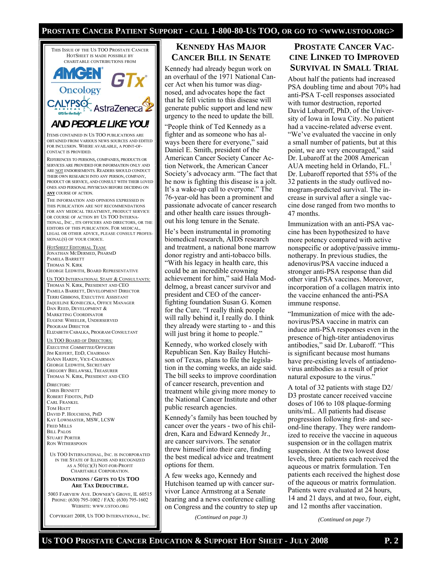### **PROSTATE CANCER PATIENT SUPPORT - CALL 1-800-80-US TOO, OR GO TO <WWW.USTOO.ORG>**



US TOO BOARD OF DIRECTORS: *EXECUTIVE COMMITTEE/OFFICERS* JIM KIEFERT, EDD, CHAIRMAN JOANN HARDY, VICE-CHAIRMAN GEORGE LEDWITH, SECRETARY GREGORY BIELAWSKI, TREASURER THOMAS N. KIRK, PRESIDENT AND CEO

*DIRECTORS:*  CHRIS BENNETT ROBERT FIDOTIN, PHD CARL FRANKEL TOM HIATT DAVID P. HOUCHENS, PHD KAY LOWMASTER, MSW, LCSW FRED MILLS **BILL PALOS** STUART PORTER RON WITHERSPOON

US TOO INTERNATIONAL, INC. IS INCORPORATED IN THE STATE OF ILLINOIS AND RECOGNIZED AS A 501(C)(3) NOT-FOR-PROFIT CHARITABLE CORPORATION.

### **DONATIONS / GIFTS TO US TOO ARE TAX DEDUCTIBLE.**

5003 FAIRVIEW AVE. DOWNER'S GROVE, IL 60515 PHONE: (630) 795-1002 / FAX: (630) 795-1602 WEBSITE: WWW.USTOO.ORG

COPYRIGHT 2008, US TOO INTERNATIONAL, INC.

# **KENNEDY HAS MAJOR CANCER BILL IN SENATE**

Kennedy had already begun work on an overhaul of the 1971 National Cancer Act when his tumor was diagnosed, and advocates hope the fact that he fell victim to this disease will generate public support and lend new urgency to the need to update the bill.

"People think of Ted Kennedy as a fighter and as someone who has always been there for everyone," said Daniel E. Smith, president of the American Cancer Society Cancer Action Network, the American Cancer Society's advocacy arm. "The fact that he now is fighting this disease is a jolt. It's a wake-up call to everyone." The 76-year-old has been a prominent and passionate advocate of cancer research and other health care issues throughout his long tenure in the Senate.

He's been instrumental in promoting biomedical research, AIDS research and treatment, a national bone marrow donor registry and anti-tobacco bills. "With his legacy in health care, this could be an incredible crowning achievement for him," said Hala Moddelmog, a breast cancer survivor and president and CEO of the cancerfighting foundation Susan G. Komen for the Cure. "I really think people will rally behind it, I really do. I think they already were starting to - and this will just bring it home to people."

Kennedy, who worked closely with Republican Sen. Kay Bailey Hutchison of Texas, plans to file the legislation in the coming weeks, an aide said. The bill seeks to improve coordination of cancer research, prevention and treatment while giving more money to the National Cancer Institute and other public research agencies.

Kennedy's family has been touched by cancer over the years - two of his children, Kara and Edward Kennedy Jr., are cancer survivors. The senator threw himself into their care, finding the best medical advice and treatment options for them.

A few weeks ago, Kennedy and Hutchison teamed up with cancer survivor Lance Armstrong at a Senate hearing and a news conference calling on Congress and the country to step up

*(Continued on page 3)* 

# **PROSTATE CANCER VAC-CINE LINKED TO IMPROVED SURVIVAL IN SMALL TRIAL**

About half the patients had increased PSA doubling time and about 70% had anti-PSA T-cell responses associated with tumor destruction, reported David Lubaroff, PhD, of the University of Iowa in Iowa City. No patient had a vaccine-related adverse event. "We've evaluated the vaccine in only a small number of patients, but at this point, we are very encouraged," said Dr. Lubaroff at the 2008 American AUA meeting held in Orlando,  $FL<sup>1</sup>$ . Dr. Lubaroff reported that 55% of the 32 patients in the study outlived nomogram-predicted survival. The increase in survival after a single vaccine dose ranged from two months to 47 months.

Immunization with an anti-PSA vaccine has been hypothesized to have more potency compared with active nonspecific or adoptive/passive immunotherapy. In previous studies, the adenovirus/PSA vaccine induced a stronger anti-PSA response than did other viral PSA vaccines. Moreover, incorporation of a collagen matrix into the vaccine enhanced the anti-PSA immune response.

"Immunization of mice with the adenovirus/PSA vaccine in matrix can induce anti-PSA responses even in the presence of high-titer antiadenovirus antibodies," said Dr. Lubaroff. "This is significant because most humans have pre-existing levels of antiadenovirus antibodies as a result of prior natural exposure to the virus."

A total of 32 patients with stage D2/ D3 prostate cancer received vaccine doses of 106 to 108 plaque-forming units/mL. All patients had disease progression following first- and second-line therapy. They were randomized to receive the vaccine in aqueous suspension or in the collagen matrix suspension. At the two lowest dose levels, three patients each received the aqueous or matrix formulation. Ten patients each received the highest dose of the aqueous or matrix formulation. Patients were evaluated at 24 hours, 14 and 21 days, and at two, four, eight, and 12 months after vaccination.

*(Continued on page 7)*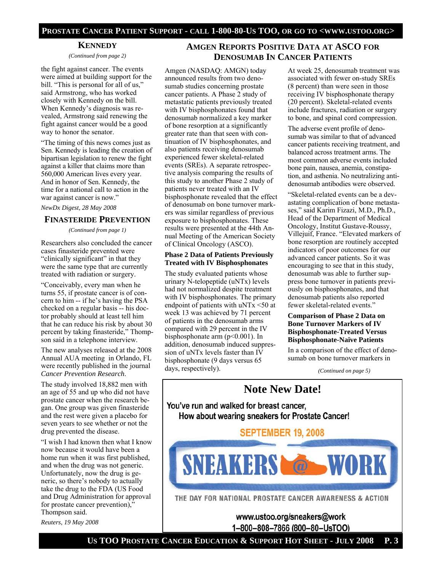### **PROSTATE CANCER PATIENT SUPPORT - CALL 1-800-80-US TOO, OR GO TO <WWW.USTOO.ORG>**

### **KENNEDY**

*(Continued from page 2)* 

the fight against cancer. The events were aimed at building support for the bill. "This is personal for all of us," said Armstrong, who has worked closely with Kennedy on the bill. When Kennedy's diagnosis was revealed, Armstrong said renewing the fight against cancer would be a good way to honor the senator.

"The timing of this news comes just as Sen. Kennedy is leading the creation of bipartisan legislation to renew the fight against a killer that claims more than 560,000 American lives every year. And in honor of Sen. Kennedy, the time for a national call to action in the war against cancer is now."

### *NewDx Digest, 28 May 2008*

### **FINASTERIDE PREVENTION**

*(Continued from page 1)* 

Researchers also concluded the cancer cases finasteride prevented were "clinically significant" in that they were the same type that are currently treated with radiation or surgery.

"Conceivably, every man when he turns 55, if prostate cancer is of concern to him -- if he's having the PSA checked on a regular basis -- his doctor probably should at least tell him that he can reduce his risk by about 30 percent by taking finasteride," Thompson said in a telephone interview.

The new analyses released at the 2008 Annual AUA meeting in Orlando, FL were recently published in the journal *Cancer Prevention Research*.

The study involved 18,882 men with an age of 55 and up who did not have prostate cancer when the research began. One group was given finasteride and the rest were given a placebo for seven years to see whether or not the drug prevented the disease.

"I wish I had known then what I know now because it would have been a home run when it was first published, and when the drug was not generic. Unfortunately, now the drug is generic, so there's nobody to actually take the drug to the FDA (US Food and Drug Administration for approval for prostate cancer prevention)," Thompson said.

*Reuters, 19 May 2008* 

# **AMGEN REPORTS POSITIVE DATA AT ASCO FOR DENOSUMAB IN CANCER PATIENTS**

Amgen (NASDAQ: AMGN) today announced results from two denosumab studies concerning prostate cancer patients. A Phase 2 study of metastatic patients previously treated with IV bisphosphonates found that denosumab normalized a key marker of bone resorption at a significantly greater rate than that seen with continuation of IV bisphosphonates, and also patients receiving denosumab experienced fewer skeletal-related events (SREs). A separate retrospective analysis comparing the results of this study to another Phase 2 study of patients never treated with an IV bisphosphonate revealed that the effect of denosumab on bone turnover markers was similar regardless of previous exposure to bisphosphonates. These results were presented at the 44th Annual Meeting of the American Society of Clinical Oncology (ASCO).

### **Phase 2 Data of Patients Previously Treated with IV Bisphosphonates**

The study evaluated patients whose urinary N-telopeptide (uNTx) levels had not normalized despite treatment with IV bisphosphonates. The primary endpoint of patients with uNTx <50 at week 13 was achieved by 71 percent of patients in the denosumab arms compared with 29 percent in the IV bisphosphonate arm (p<0.001). In addition, denosumab induced suppression of uNTx levels faster than IV bisphosphonate (9 days versus 65 days, respectively).

At week 25, denosumab treatment was associated with fewer on-study SREs (8 percent) than were seen in those receiving IV bisphosphonate therapy (20 percent). Skeletal-related events include fractures, radiation or surgery to bone, and spinal cord compression.

The adverse event profile of denosumab was similar to that of advanced cancer patients receiving treatment, and balanced across treatment arms. The most common adverse events included bone pain, nausea, anemia, constipation, and asthenia. No neutralizing antidenosumab antibodies were observed.

"Skeletal-related events can be a devastating complication of bone metastases," said Karim Fizazi, M.D., Ph.D., Head of the Department of Medical Oncology, Institut Gustave-Roussy, Villejuif, France. "Elevated markers of bone resorption are routinely accepted indicators of poor outcomes for our advanced cancer patients. So it was encouraging to see that in this study, denosumab was able to further suppress bone turnover in patients previously on bisphosphonates, and that denosumab patients also reported fewer skeletal-related events."

### **Comparison of Phase 2 Data on Bone Turnover Markers of IV Bisphosphonate-Treated Versus Bisphosphonate-Naïve Patients**

In a comparison of the effect of denosumab on bone turnover markers in

*(Continued on page 5)* 

# **Note New Date!**

You've run and walked for breast cancer, How about wearing sneakers for Prostate Cancer!

**SEPTEMBER 19, 2008** 



THE DAY FOR NATIONAL PROSTATE CANCER AWARENESS & ACTION

www.ustoo.org/sneakers@work 1-800-808-7866 (800-80-UsTOO)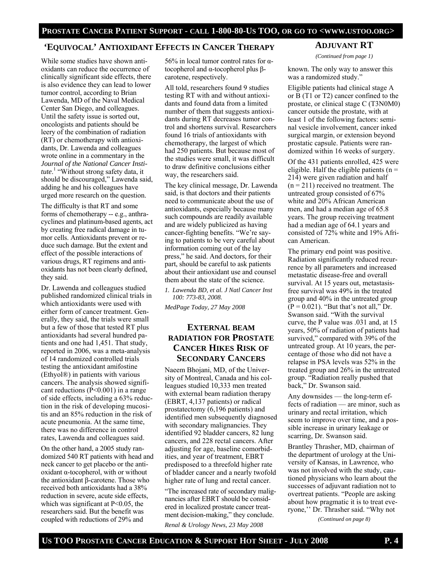### **'EQUIVOCAL' ANTIOXIDANT EFFECTS IN CANCER THERAPY**

While some studies have shown antioxidants can reduce the occurrence of clinically significant side effects, there is also evidence they can lead to lower tumor control, according to Brian Lawenda, MD of the Naval Medical Center San Diego, and colleagues. Until the safety issue is sorted out, oncologists and patients should be leery of the combination of radiation (RT) or chemotherapy with antioxidants, Dr. Lawenda and colleagues wrote online in a commentary in the *Journal of the National Cancer Institute*. 1 "Without strong safety data, it should be discouraged," Lawenda said, adding he and his colleagues have urged more research on the question.

The difficulty is that RT and some forms of chemotherapy -- e.g., anthracyclines and platinum-based agents, act by creating free radical damage in tumor cells. Antioxidants prevent or reduce such damage. But the extent and effect of the possible interactions of various drugs, RT regimens and antioxidants has not been clearly defined, they said.

Dr. Lawenda and colleagues studied published randomized clinical trials in which antioxidants were used with either form of cancer treatment. Generally, they said, the trials were small but a few of those that tested RT plus antioxidants had several hundred patients and one had 1,451. That study, reported in 2006, was a meta-analysis of 14 randomized controlled trials testing the antioxidant amifostine (Ethyol®) in patients with various cancers. The analysis showed significant reductions (P<0.001) in a range of side effects, including a 63% reduction in the risk of developing mucositis and an 85% reduction in the risk of acute pneumonia. At the same time, there was no difference in control rates, Lawenda and colleagues said.

On the other hand, a 2005 study randomized 540 RT patients with head and neck cancer to get placebo or the antioxidant α-tocopherol, with or without the antioxidant β-carotene. Those who received both antioxidants had a 38% reduction in severe, acute side effects, which was significant at P<0.05, the researchers said. But the benefit was coupled with reductions of 29% and

56% in local tumor control rates for αtocopherol and α-tocopherol plus βcarotene, respectively.

All told, researchers found 9 studies testing RT with and without antioxidants and found data from a limited number of them that suggests antioxidants during RT decreases tumor control and shortens survival. Researchers found 16 trials of antioxidants with chemotherapy, the largest of which had 250 patients. But because most of the studies were small, it was difficult to draw definitive conclusions either way, the researchers said.

The key clinical message, Dr. Lawenda said, is that doctors and their patients need to communicate about the use of antioxidants, especially because many such compounds are readily available and are widely publicized as having cancer-fighting benefits. "We're saying to patients to be very careful about information coming out of the lay press," he said. And doctors, for their part, should be careful to ask patients about their antioxidant use and counsel them about the state of the science.

*1. Lawenda BD, et al. J Natl Cancer Inst 100: 773-83, 2008.* 

*MedPage Today, 27 May 2008* 

# **EXTERNAL BEAM RADIATION FOR PROSTATE CANCER HIKES RISK OF SECONDARY CANCERS**

Naeem Bhojani, MD, of the University of Montreal, Canada and his colleagues studied 10,333 men treated with external beam radiation therapy (EBRT, 4,137 patients) or radical prostatectomy (6,196 patients) and identified men subsequently diagnosed with secondary malignancies. They identified 92 bladder cancers, 82 lung cancers, and 228 rectal cancers. After adjusting for age, baseline comorbidities, and year of treatment, EBRT predisposed to a threefold higher rate of bladder cancer and a nearly twofold higher rate of lung and rectal cancer.

"The increased rate of secondary malignancies after EBRT should be considered in localized prostate cancer treatment decision-making," they conclude.

*Renal & Urology News, 23 May 2008* 

# **ADJUVANT RT**

*(Continued from page 1)* 

known. The only way to answer this was a randomized study."

Eligible patients had clinical stage A or B (T1 or T2) cancer confined to the prostate, or clinical stage C (T3N0M0) cancer outside the prostate, with at least 1 of the following factors: seminal vesicle involvement, cancer inked surgical margin, or extension beyond prostatic capsule. Patients were randomized within 16 weeks of surgery.

Of the 431 patients enrolled, 425 were eligible. Half the eligible patients  $(n =$ 214) were given radiation and half  $(n = 211)$  received no treatment. The untreated group consisted of 67% white and 20% African American men, and had a median age of 65.8 years. The group receiving treatment had a median age of 64.1 years and consisted of 72% white and 19% African American.

The primary end point was positive. Radiation significantly reduced recurrence by all parameters and increased metastatic disease-free and overall survival. At 15 years out, metastasisfree survival was 49% in the treated group and 40% in the untreated group  $(P = 0.021)$ . "But that's not all," Dr. Swanson said. "With the survival curve, the P value was .031 and, at 15 years, 50% of radiation of patients had survived," compared with 39% of the untreated group. At 10 years, the percentage of those who did not have a relapse in PSA levels was 52% in the treated group and 26% in the untreated group. "Radiation really pushed that back," Dr. Swanson said.

Any downsides — the long-term effects of radiation — are minor, such as urinary and rectal irritation, which seem to improve over time, and a possible increase in urinary leakage or scarring, Dr. Swanson said.

Brantley Thrasher, MD, chairman of the department of urology at the University of Kansas, in Lawrence, who was not involved with the study, cautioned physicians who learn about the successes of adjuvant radiation not to overtreat patients. "People are asking about how pragmatic it is to treat everyone,'' Dr. Thrasher said. "Why not

*(Continued on page 8)*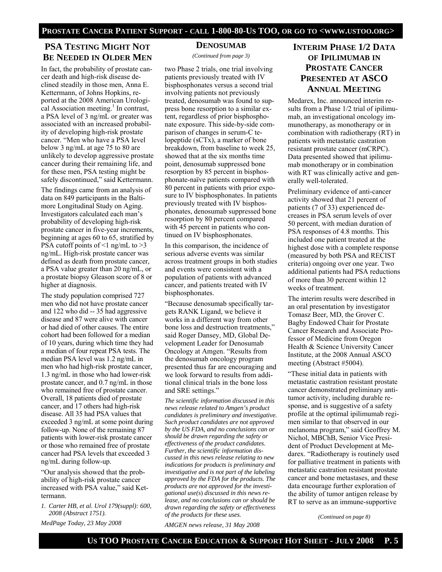# **PSA TESTING MIGHT NOT BE NEEDED IN OLDER MEN**

In fact, the probability of prostate cancer death and high-risk disease declined steadily in those men, Anna E. Kettermann, of Johns Hopkins, reported at the 2008 American Urological Association meeting.<sup>1</sup> In contrast, a PSA level of 3 ng/mL or greater was associated with an increased probability of developing high-risk prostate cancer. "Men who have a PSA level below 3 ng/mL at age 75 to 80 are unlikely to develop aggressive prostate cancer during their remaining life, and for these men, PSA testing might be safely discontinued," said Kettermann.

The findings came from an analysis of data on 849 participants in the Baltimore Longitudinal Study on Aging. Investigators calculated each man's probability of developing high-risk prostate cancer in five-year increments, beginning at ages 60 to 65, stratified by PSA cutoff points of  $\leq 1$  ng/mL to  $\geq 3$ ng/mL. High-risk prostate cancer was defined as death from prostate cancer, a PSA value greater than 20 ng/mL, or a prostate biopsy Gleason score of 8 or higher at diagnosis.

The study population comprised 727 men who did not have prostate cancer and 122 who did -- 35 had aggressive disease and 87 were alive with cancer or had died of other causes. The entire cohort had been followed for a median of 10 years, during which time they had a median of four repeat PSA tests. The median PSA level was 1.2 ng/mL in men who had high-risk prostate cancer, 1.3 ng/mL in those who had lower-risk prostate cancer, and 0.7 ng/mL in those who remained free of prostate cancer. Overall, 18 patients died of prostate cancer, and 17 others had high-risk disease. All 35 had PSA values that exceeded 3 ng/mL at some point during follow-up. None of the remaining 87 patients with lower-risk prostate cancer or those who remained free of prostate cancer had PSA levels that exceeded 3 ng/mL during follow-up.

"Our analysis showed that the probability of high-risk prostate cancer increased with PSA value," said Kettermann.

*1. Carter HB, et al. Urol 179(suppl): 600, 2008 (Abstract 1751).* 

*MedPage Today, 23 May 2008* 

### **DENOSUMAB**

*(Continued from page 3)* 

two Phase 2 trials, one trial involving patients previously treated with IV bisphosphonates versus a second trial involving patients not previously treated, denosumab was found to suppress bone resorption to a similar extent, regardless of prior bisphosphonate exposure. This side-by-side comparison of changes in serum-C telopeptide (sCTx), a marker of bone breakdown, from baseline to week 25, showed that at the six months time point, denosumab suppressed bone resorption by 85 percent in bisphosphonate-naïve patients compared with 80 percent in patients with prior exposure to IV bisphosphonates. In patients previously treated with IV bisphosphonates, denosumab suppressed bone resorption by 80 percent compared with 45 percent in patients who continued on IV bisphosphonates.

In this comparison, the incidence of serious adverse events was similar across treatment groups in both studies and events were consistent with a population of patients with advanced cancer, and patients treated with IV bisphosphonates.

"Because denosumab specifically targets RANK Ligand, we believe it works in a different way from other bone loss and destruction treatments," said Roger Dansey, MD, Global Development Leader for Denosumab Oncology at Amgen. "Results from the denosumab oncology program presented thus far are encouraging and we look forward to results from additional clinical trials in the bone loss and SRE settings."

*The scientific information discussed in this news release related to Amgen's product candidates is preliminary and investigative. Such product candidates are not approved by the US FDA, and no conclusions can or should be drawn regarding the safety or effectiveness of the product candidates. Further, the scientific information discussed in this news release relating to new indications for products is preliminary and investigative and is not part of the labeling approved by the FDA for the products. The products are not approved for the investigational use(s*) *discussed in this news release, and no conclusions can or should be drawn regarding the safety or effectiveness of the products for these uses.* 

*AMGEN news release, 31 May 2008* 

# **INTERIM PHASE 1/2 DATA OF IPILIMUMAB IN PROSTATE CANCER PRESENTED AT ASCO ANNUAL MEETING**

Medarex, Inc. announced interim results from a Phase 1/2 trial of ipilimumab, an investigational oncology immunotherapy, as monotherapy or in combination with radiotherapy (RT) in patients with metastatic castration resistant prostate cancer (mCRPC). Data presented showed that ipilimumab monotherapy or in combination with RT was clinically active and generally well-tolerated.

Preliminary evidence of anti-cancer activity showed that 21 percent of patients (7 of 33) experienced decreases in PSA serum levels of over 50 percent, with median duration of PSA responses of 4.8 months. This included one patient treated at the highest dose with a complete response (measured by both PSA and RECIST criteria) ongoing over one year. Two additional patients had PSA reductions of more than 30 percent within 12 weeks of treatment.

The interim results were described in an oral presentation by investigator Tomasz Beer, MD, the Grover C. Bagby Endowed Chair for Prostate Cancer Research and Associate Professor of Medicine from Oregon Health & Science University Cancer Institute, at the 2008 Annual ASCO meeting (Abstract #5004).

"These initial data in patients with metastatic castration resistant prostate cancer demonstrated preliminary antitumor activity, including durable response, and is suggestive of a safety profile at the optimal ipilimumab regimen similar to that observed in our melanoma program," said Geoffrey M. Nichol, MBChB, Senior Vice President of Product Development at Medarex. "Radiotherapy is routinely used for palliative treatment in patients with metastatic castration resistant prostate cancer and bone metastases, and these data encourage further exploration of the ability of tumor antigen release by RT to serve as an immune-supportive

*(Continued on page 8)*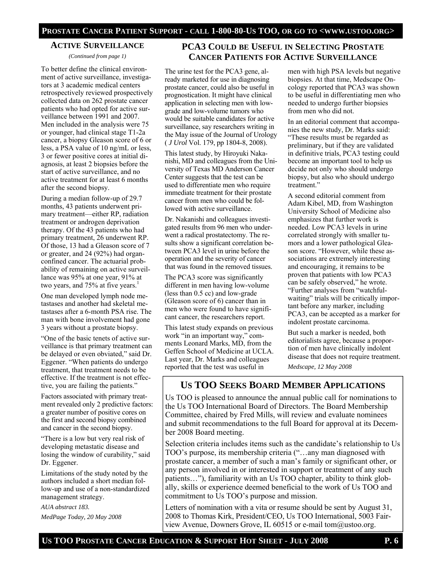### **ACTIVE SURVEILLANCE**

*(Continued from page 1)* 

To better define the clinical environment of active surveillance, investigators at 3 academic medical centers retrospectively reviewed prospectively collected data on 262 prostate cancer patients who had opted for active surveillance between 1991 and 2007. Men included in the analysis were 75 or younger, had clinical stage T1-2a cancer, a biopsy Gleason score of 6 or less, a PSA value of 10 ng/mL or less, 3 or fewer positive cores at initial diagnosis, at least 2 biopsies before the start of active surveillance, and no active treatment for at least 6 months after the second biopsy.

During a median follow-up of 29.7 months, 43 patients underwent primary treatment—either RP, radiation treatment or androgen deprivation therapy. Of the 43 patients who had primary treatment, 26 underwent RP. Of those, 13 had a Gleason score of 7 or greater, and 24 (92%) had organconfined cancer. The actuarial probability of remaining on active surveillance was 95% at one year, 91% at two years, and  $75%$  at five years.<sup>1</sup>

One man developed lymph node metastases and another had skeletal metastases after a 6-month PSA rise. The man with bone involvement had gone 3 years without a prostate biopsy.

"One of the basic tenets of active surveillance is that primary treatment can be delayed or even obviated," said Dr. Eggener. "When patients do undergo treatment, that treatment needs to be effective. If the treatment is not effective, you are failing the patients."

Factors associated with primary treatment revealed only 2 predictive factors: a greater number of positive cores on the first and second biopsy combined and cancer in the second biopsy.

"There is a low but very real risk of developing metastatic disease and losing the window of curability," said Dr. Eggener.

Limitations of the study noted by the authors included a short median follow-up and use of a non-standardized management strategy.

*AUA abstract 183.* 

*MedPage Today, 20 May 2008* 

# **PCA3 COULD BE USEFUL IN SELECTING PROSTATE CANCER PATIENTS FOR ACTIVE SURVEILLANCE**

The urine test for the PCA3 gene, already marketed for use in diagnosing prostate cancer, could also be useful in prognostication. It might have clinical application in selecting men with lowgrade and low-volume tumors who would be suitable candidates for active surveillance, say researchers writing in the May issue of the Journal of Urology ( *J Urol* Vol. 179, pp 1804-8, 2008).

This latest study, by Hiroyuki Nakanishi, MD and colleagues from the University of Texas MD Anderson Cancer Center suggests that the test can be used to differentiate men who require immediate treatment for their prostate cancer from men who could be followed with active surveillance.

Dr. Nakanishi and colleagues investigated results from 96 men who underwent a radical prostatectomy. The results show a significant correlation between PCA3 level in urine before the operation and the severity of cancer that was found in the removed tissues.

The PCA3 score was significantly different in men having low-volume (less than 0.5 cc) and low-grade (Gleason score of 6) cancer than in men who were found to have significant cancer, the researchers report.

This latest study expands on previous work "in an important way," comments Leonard Marks, MD, from the Geffen School of Medicine at UCLA. Last year, Dr. Marks and colleagues reported that the test was useful in

men with high PSA levels but negative biopsies. At that time, Medscape Oncology reported that PCA3 was shown to be useful in differentiating men who needed to undergo further biopsies from men who did not.

In an editorial comment that accompanies the new study, Dr. Marks said: "These results must be regarded as preliminary, but if they are validated in definitive trials, PCA3 testing could become an important tool to help us decide not only who should undergo biopsy, but also who should undergo treatment."

A second editorial comment from Adam Kibel, MD, from Washington University School of Medicine also emphasizes that further work is needed. Low PCA3 levels in urine correlated strongly with smaller tumors and a lower pathological Gleason score. "However, while these associations are extremely interesting and encouraging, it remains to be proven that patients with low PCA3 can be safely observed," he wrote. "Further analyses from "watchfulwaiting" trials will be critically important before any marker, including PCA3, can be accepted as a marker for indolent prostate carcinoma.

But such a marker is needed, both editorialists agree, because a proportion of men have clinically indolent disease that does not require treatment.

*Medscape, 12 May 2008* 

# **US TOO SEEKS BOARD MEMBER APPLICATIONS**

Us TOO is pleased to announce the annual public call for nominations to the Us TOO International Board of Directors. The Board Membership Committee, chaired by Fred Mills, will review and evaluate nominees and submit recommendations to the full Board for approval at its December 2008 Board meeting.

Selection criteria includes items such as the candidate's relationship to Us TOO's purpose, its membership criteria ("…any man diagnosed with prostate cancer, a member of such a man's family or significant other, or any person involved in or interested in support or treatment of any such patients…"), familiarity with an Us TOO chapter, ability to think globally, skills or experience deemed beneficial to the work of Us TOO and commitment to Us TOO's purpose and mission.

Letters of nomination with a vita or resume should be sent by August 31, 2008 to Thomas Kirk, President/CEO, Us TOO International, 5003 Fairview Avenue, Downers Grove, IL 60515 or e-mail tom@ustoo.org.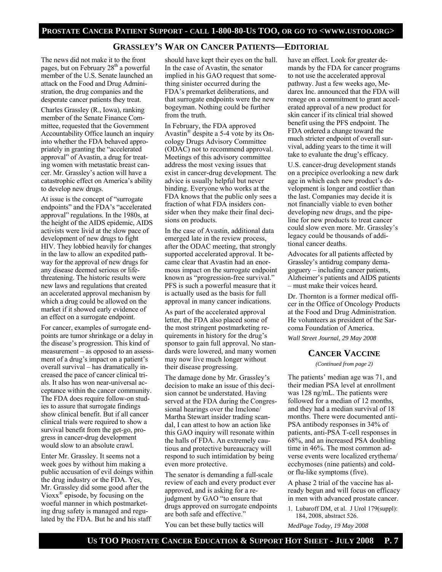### **GRASSLEY'S WAR ON CANCER PATIENTS—EDITORIAL**

The news did not make it to the front pages, but on February 28<sup>th</sup> a powerful member of the U.S. Senate launched an attack on the Food and Drug Administration, the drug companies and the desperate cancer patients they treat.

Charles Grassley (R., Iowa), ranking member of the Senate Finance Committee, requested that the Government Accountability Office launch an inquiry into whether the FDA behaved appropriately in granting the "accelerated approval" of Avastin, a drug for treating women with metastatic breast cancer. Mr. Grassley's action will have a catastrophic effect on America's ability to develop new drugs.

At issue is the concept of "surrogate endpoints" and the FDA's "accelerated approval" regulations. In the 1980s, at the height of the AIDS epidemic, AIDS activists were livid at the slow pace of development of new drugs to fight HIV. They lobbied heavily for changes in the law to allow an expedited pathway for the approval of new drugs for any disease deemed serious or lifethreatening. The historic results were new laws and regulations that created an accelerated approval mechanism by which a drug could be allowed on the market if it showed early evidence of an effect on a surrogate endpoint.

For cancer, examples of surrogate endpoints are tumor shrinkage or a delay in the disease's progression. This kind of measurement – as opposed to an assessment of a drug's impact on a patient's overall survival – has dramatically increased the pace of cancer clinical trials. It also has won near-universal acceptance within the cancer community. The FDA does require follow-on studies to assure that surrogate findings show clinical benefit. But if all cancer clinical trials were required to show a survival benefit from the get-go, progress in cancer-drug development would slow to an absolute crawl.

Enter Mr. Grassley. It seems not a week goes by without him making a public accusation of evil doings within the drug industry or the FDA. Yes, Mr. Grassley did some good after the Vioxx® episode, by focusing on the woeful manner in which postmarketing drug safety is managed and regulated by the FDA. But he and his staff

should have kept their eyes on the ball. In the case of Avastin, the senator implied in his GAO request that something sinister occurred during the FDA's premarket deliberations, and that surrogate endpoints were the new bogeyman. Nothing could be further from the truth.

In February, the FDA approved Avastin® despite a 5-4 vote by its Oncology Drugs Advisory Committee (ODAC) not to recommend approval. Meetings of this advisory committee address the most vexing issues that exist in cancer-drug development. The advice is usually helpful but never binding. Everyone who works at the FDA knows that the public only sees a fraction of what FDA insiders consider when they make their final decisions on products.

In the case of Avastin, additional data emerged late in the review process, after the ODAC meeting, that strongly supported accelerated approval. It became clear that Avastin had an enormous impact on the surrogate endpoint known as "progression-free survival." PFS is such a powerful measure that it is actually used as the basis for full approval in many cancer indications.

As part of the accelerated approval letter, the FDA also placed some of the most stringent postmarketing requirements in history for the drug's sponsor to gain full approval. No standards were lowered, and many women may now live much longer without their disease progressing.

The damage done by Mr. Grassley's decision to make an issue of this decision cannot be understated. Having served at the FDA during the Congressional hearings over the Imclone/ Martha Stewart insider trading scandal, I can attest to how an action like this GAO inquiry will resonate within the halls of FDA. An extremely cautious and protective bureaucracy will respond to such intimidation by being even more protective.

The senator is demanding a full-scale review of each and every product ever approved, and is asking for a rejudgment by GAO "to ensure that drugs approved on surrogate endpoints are both safe and effective."

You can bet these bully tactics will

have an effect. Look for greater demands by the FDA for cancer programs to not use the accelerated approval pathway. Just a few weeks ago, Medarex Inc. announced that the FDA will renege on a commitment to grant accelerated approval of a new product for skin cancer if its clinical trial showed benefit using the PFS endpoint. The FDA ordered a change toward the much stricter endpoint of overall survival, adding years to the time it will take to evaluate the drug's efficacy.

U.S. cancer-drug development stands on a precipice overlooking a new dark age in which each new product's development is longer and costlier than the last. Companies may decide it is not financially viable to even bother developing new drugs, and the pipeline for new products to treat cancer could slow even more. Mr. Grassley's legacy could be thousands of additional cancer deaths.

Advocates for all patients affected by Grassley's antidrug company demagoguery – including cancer patients, Alzheimer's patients and AIDS patients – must make their voices heard.

Dr. Thornton is a former medical officer in the Office of Oncology Products at the Food and Drug Administration. He volunteers as president of the Sarcoma Foundation of America. *Wall Street Journal, 29 May 2008* 

### **CANCER VACCINE**

*(Continued from page 2)* 

The patients' median age was 71, and their median PSA level at enrollment was 128 ng/mL. The patients were followed for a median of 12 months, and they had a median survival of 18 months. There were documented anti-PSA antibody responses in 34% of patients, anti-PSA T-cell responses in 68%, and an increased PSA doubling time in 46%. The most common adverse events were localized erythema/ ecchymoses (nine patients) and coldor flu-like symptoms (five).

A phase 2 trial of the vaccine has already begun and will focus on efficacy in men with advanced prostate cancer.

1. Lubaroff DM, et al. J Urol 179(suppl): 184, 2008, abstract 526.

*MedPage Today, 19 May 2008*